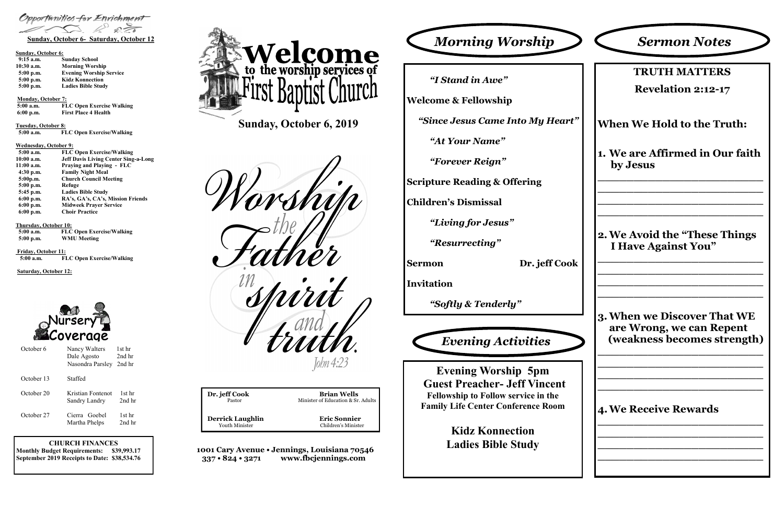## **CHURCH FINANCES Monthly Budget Requirements: \$39,993.17 September 2019 Receipts to Date: \$38,534.76**

| Dr. jeff Cook           | <b>Brian Wells</b>                 |  |
|-------------------------|------------------------------------|--|
| Pastor                  | Minister of Education & Sr. Adults |  |
| <b>Derrick Laughlin</b> | <b>Eric Sonnier</b>                |  |
| Youth Minister          | Children's Minister                |  |
|                         |                                    |  |

**1001 Cary Avenue • Jennings, Louisiana 70546 337 • 824 • 3271 www.fbcjennings.com**

**Sunday, October 6, 2019**







## **Sunday, October 6:**

| $9:15$ a.m.  | <b>Sunday School</b>           |
|--------------|--------------------------------|
| $10:30$ a.m. | <b>Morning Worship</b>         |
| $5:00$ p.m.  | <b>Evening Worship Service</b> |
| $5:00$ p.m.  | <b>Kidz Konnection</b>         |
| $5:00$ p.m.  | <b>Ladies Bible Study</b>      |

### **Monday, October 7:**

| $5:00$ a.m. | <b>FLC Open Exercise Walking</b> |
|-------------|----------------------------------|
| $6:00$ p.m. | <b>First Place 4 Health</b>      |

**Tuesday, October 8:**

 **5:00 a.m. FLC Open Exercise/Walking**

### **Wednesday, October 9:**

| $5:00$ a.m. | <b>FLC Open Exercise/Walking</b>            |
|-------------|---------------------------------------------|
| 10:00 a.m.  | <b>Jeff Davis Living Center Sing-a-Long</b> |
| 11:00 a.m.  | <b>Praying and Playing - FLC</b>            |
| $4:30$ p.m. | <b>Family Night Meal</b>                    |
| 5:00p.m.    | <b>Church Council Meeting</b>               |
| $5:00$ p.m. | Refuge                                      |
| 5:45 p.m.   | <b>Ladies Bible Study</b>                   |
| $6:00$ p.m. | RA's, GA's, CA's, Mission Friends           |
| $6:00$ p.m. | <b>Midweek Prayer Service</b>               |
| $6:00$ p.m. | <b>Choir Practice</b>                       |
|             |                                             |

### **Thursday, October 10:**

| $5:00$ a.m. | <b>FLC Open Exercise/Walking</b> |
|-------------|----------------------------------|
| $5:00$ p.m. | <b>WMU Meeting</b>               |

**Friday, October 11: 5:00 a.m. FLC Open Exercise/Walking**

## **Saturday, October 12:**



*"I Stand in Awe"*

**Welcome & Fellowship**

*"Since Jesus Came Into My Heart"*

*"At Your Name"*

*"Forever Reign"*

**Scripture Reading & Offering**

**Children's Dismissal**

*"Living for Jesus"*

*"Resurrecting"*

**Sermon Dr. jeff Cook**

**Invitation**

*"Softly & Tenderly"*

| <b>TRUTH MATTERS</b><br><b>Revelation 2:12-17</b><br><b>When We Hold to the Truth:</b> |
|----------------------------------------------------------------------------------------|
|                                                                                        |
|                                                                                        |
|                                                                                        |
| 1. We are Affirmed in Our faith<br>by Jesus                                            |
| 2. We Avoid the "These Things"<br><b>I Have Against You"</b>                           |
| 3. When we Discover That WE<br>are Wrong, we can Repent<br>(weakness becomes strength) |
| <b>4. We Receive Rewards</b>                                                           |
|                                                                                        |

**Evening Worship 5pm Guest Preacher- Jeff Vincent Fellowship to Follow service in the Family Life Center Conference Room**

> **Kidz Konnection Ladies Bible Study**



| October 6  | Nancy Walters<br>Dale Agosto       | 1st hr<br>2nd hr |
|------------|------------------------------------|------------------|
|            | Nasondra Parsley                   | 2nd hr           |
| October 13 | Staffed                            |                  |
| October 20 | Kristian Fontenot<br>Sandry Landry | 1st hr<br>2nd hr |
| October 27 | Cierra Goebel<br>Martha Phelps     | 1st hr<br>2nd hr |